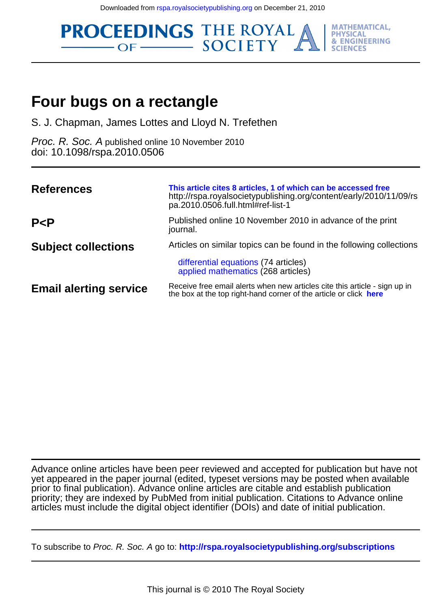Downloaded from [rspa.royalsocietypublishing.org](http://rspa.royalsocietypublishing.org/) on December 21, 2010



# **Four bugs on a rectangle**

S. J. Chapman, James Lottes and Lloyd N. Trefethen

doi: 10.1098/rspa.2010.0506 Proc. R. Soc. A published online 10 November 2010

| <b>References</b>             | This article cites 8 articles, 1 of which can be accessed free<br>http://rspa.royalsocietypublishing.org/content/early/2010/11/09/rs<br>pa.2010.0506.full.html#ref-list-1 |
|-------------------------------|---------------------------------------------------------------------------------------------------------------------------------------------------------------------------|
| P < P                         | Published online 10 November 2010 in advance of the print<br>journal.                                                                                                     |
| <b>Subject collections</b>    | Articles on similar topics can be found in the following collections                                                                                                      |
|                               | differential equations (74 articles)<br>applied mathematics (268 articles)                                                                                                |
| <b>Email alerting service</b> | Receive free email alerts when new articles cite this article - sign up in<br>the box at the top right-hand corner of the article or click here                           |

articles must include the digital object identifier (DOIs) and date of initial publication. priority; they are indexed by PubMed from initial publication. Citations to Advance online prior to final publication). Advance online articles are citable and establish publication yet appeared in the paper journal (edited, typeset versions may be posted when available Advance online articles have been peer reviewed and accepted for publication but have not

To subscribe to Proc. R. Soc. A go to: **<http://rspa.royalsocietypublishing.org/subscriptions>**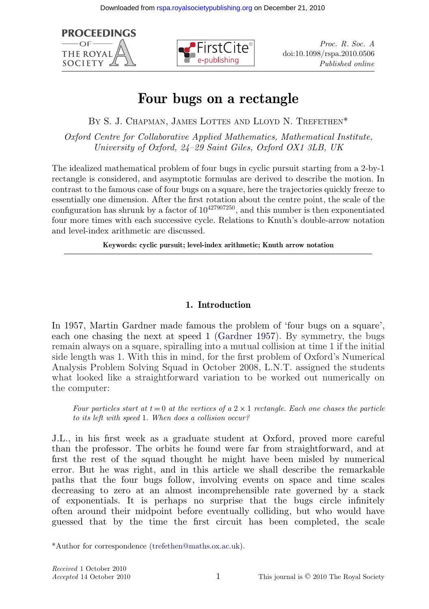**PROCEEDINGS**  $-OF$ **THE ROYA SOCIETY** 



*Proc. R. Soc. A* doi:10.1098/rspa.2010.0506 *Published online*

# **Four bugs on a rectangle**

BY S. J. CHAPMAN, JAMES LOTTES AND LLOYD N. TREFETHEN\*

*Oxford Centre for Collaborative Applied Mathematics, Mathematical Institute, University of Oxford, 24–29 Saint Giles, Oxford OX1 3LB, UK*

The idealized mathematical problem of four bugs in cyclic pursuit starting from a 2-by-1 rectangle is considered, and asymptotic formulas are derived to describe the motion. In contrast to the famous case of four bugs on a square, here the trajectories quickly freeze to essentially one dimension. After the first rotation about the centre point, the scale of the configuration has shrunk by a factor of  $10^{427907250}$ , and this number is then exponentiated four more times with each successive cycle. Relations to Knuth's double-arrow notation and level-index arithmetic are discussed.

**Keywords: cyclic pursuit; level-index arithmetic; Knuth arrow notation**

# **1. Introduction**

In 1957, Martin Gardner made famous the problem of 'four bugs on a square', each one chasing the next at speed 1 [\(Gardner 1957\)](#page-16-0). By symmetry, the bugs remain always on a square, spiralling into a mutual collision at time 1 if the initial side length was 1. With this in mind, for the first problem of Oxford's Numerical Analysis Problem Solving Squad in October 2008, L.N.T. assigned the students what looked like a straightforward variation to be worked out numerically on the computer:

*Four particles start at t* = 0 *at the vertices of a*  $2 \times 1$  *rectangle. Each one chases the particle to its left with speed* 1*. When does a collision occur?*

J.L., in his first week as a graduate student at Oxford, proved more careful than the professor. The orbits he found were far from straightforward, and at first the rest of the squad thought he might have been misled by numerical error. But he was right, and in this article we shall describe the remarkable paths that the four bugs follow, involving events on space and time scales decreasing to zero at an almost incomprehensible rate governed by a stack of exponentials. It is perhaps no surprise that the bugs circle infinitely often around their midpoint before eventually colliding, but who would have guessed that by the time the first circuit has been completed, the scale

<sup>\*</sup>Author for correspondence [\(trefethen@maths.ox.ac.uk\)](mailto:trefethen@maths.ox.ac.uk).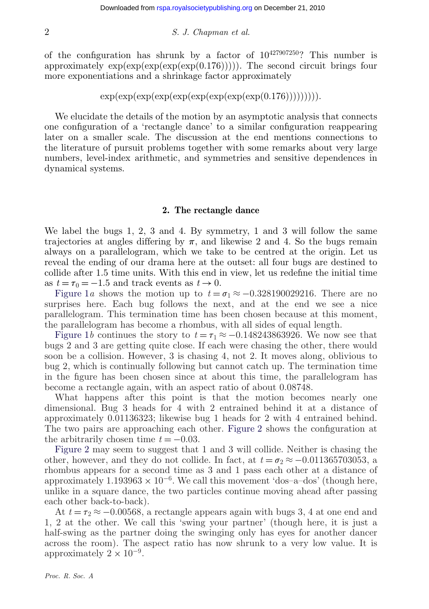of the configuration has shrunk by a factor of  $10^{427907250}$ ? This number is approximately  $\exp(\exp(\exp(\exp(0.176))))$ . The second circuit brings four more exponentiations and a shrinkage factor approximately

$$
\exp(\exp(\exp(\exp(\exp(\exp(\exp(\exp(\exp(0.176))))))))
$$

We elucidate the details of the motion by an asymptotic analysis that connects one configuration of a 'rectangle dance' to a similar configuration reappearing later on a smaller scale. The discussion at the end mentions connections to the literature of pursuit problems together with some remarks about very large numbers, level-index arithmetic, and symmetries and sensitive dependences in dynamical systems.

## **2. The rectangle dance**

We label the bugs 1, 2, 3 and 4. By symmetry, 1 and 3 will follow the same trajectories at angles differing by  $\pi$ , and likewise 2 and 4. So the bugs remain always on a parallelogram, which we take to be centred at the origin. Let us reveal the ending of our drama here at the outset: all four bugs are destined to collide after 1.5 time units. With this end in view, let us redefine the initial time as  $t = \tau_0 = -1.5$  and track events as  $t \to 0$ .

[Figure 1](#page-3-0)*a* shows the motion up to  $t = \sigma_1 \approx -0.328190029216$ . There are no surprises here. Each bug follows the next, and at the end we see a nice parallelogram. This termination time has been chosen because at this moment, the parallelogram has become a rhombus, with all sides of equal length.

[Figure 1](#page-3-0)*b* continues the story to  $t = \tau_1 \approx -0.148243863926$ . We now see that bugs 2 and 3 are getting quite close. If each were chasing the other, there would soon be a collision. However, 3 is chasing 4, not 2. It moves along, oblivious to bug 2, which is continually following but cannot catch up. The termination time in the figure has been chosen since at about this time, the parallelogram has become a rectangle again, with an aspect ratio of about 0.08748.

What happens after this point is that the motion becomes nearly one dimensional. Bug 3 heads for 4 with 2 entrained behind it at a distance of approximately 0.01136323; likewise bug 1 heads for 2 with 4 entrained behind. The two pairs are approaching each other. [Figure 2](#page-3-0) shows the configuration at the arbitrarily chosen time  $t = -0.03$ .

[Figure 2](#page-3-0) may seem to suggest that 1 and 3 will collide. Neither is chasing the other, however, and they do not collide. In fact, at  $t = \sigma_2 \approx -0.011365703053$ , a rhombus appears for a second time as 3 and 1 pass each other at a distance of approximately  $1.193963 \times 10^{-6}$ . We call this movement 'dos–a–dos' (though here, unlike in a square dance, the two particles continue moving ahead after passing each other back-to-back).

At  $t = \tau_2 \approx -0.00568$ , a rectangle appears again with bugs 3, 4 at one end and 1, 2 at the other. We call this 'swing your partner' (though here, it is just a half-swing as the partner doing the swinging only has eyes for another dancer across the room). The aspect ratio has now shrunk to a very low value. It is approximately  $2 \times 10^{-9}$ .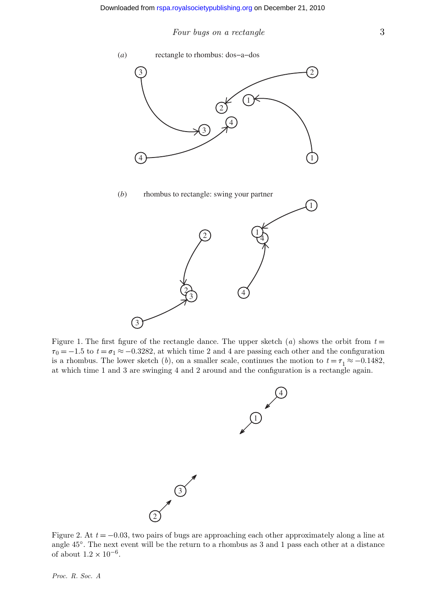<span id="page-3-0"></span>

Figure 1. The first figure of the rectangle dance. The upper sketch  $(a)$  shows the orbit from  $t =$  $\tau_0 = -1.5$  to  $t = \sigma_1 \approx -0.3282$ , at which time 2 and 4 are passing each other and the configuration is a rhombus. The lower sketch (*b*), on a smaller scale, continues the motion to  $t = \tau_1 \approx -0.1482$ , at which time 1 and 3 are swinging 4 and 2 around and the configuration is a rectangle again.



Figure 2. At *t* = −0.03, two pairs of bugs are approaching each other approximately along a line at angle 45◦. The next event will be the return to a rhombus as 3 and 1 pass each other at a distance of about  $1.2 \times 10^{-6}$ .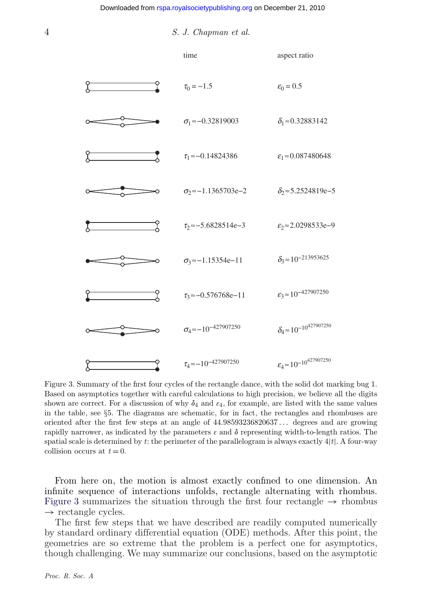<span id="page-4-0"></span>

Figure 3. Summary of the first four cycles of the rectangle dance, with the solid dot marking bug 1. Based on asymptotics together with careful calculations to high precision, we believe all the digits shown are correct. For a discussion of why  $\delta_4$  and  $\varepsilon_4$ , for example, are listed with the same values in the table, see §5. The diagrams are schematic, for in fact, the rectangles and rhombuses are oriented after the first few steps at an angle of 44.98593236820637 *...* degrees and are growing rapidly narrower, as indicated by the parameters  $\varepsilon$  and  $\delta$  representing width-to-length ratios. The spatial scale is determined by  $t$ : the perimeter of the parallelogram is always exactly  $4|t|$ . A four-way collision occurs at  $t = 0$ .

From here on, the motion is almost exactly confined to one dimension. An infinite sequence of interactions unfolds, rectangle alternating with rhombus. Figure 3 summarizes the situation through the first four rectangle  $\rightarrow$  rhombus  $\rightarrow$  rectangle cycles.

The first few steps that we have described are readily computed numerically by standard ordinary differential equation (ODE) methods. After this point, the geometries are so extreme that the problem is a perfect one for asymptotics, though challenging. We may summarize our conclusions, based on the asymptotic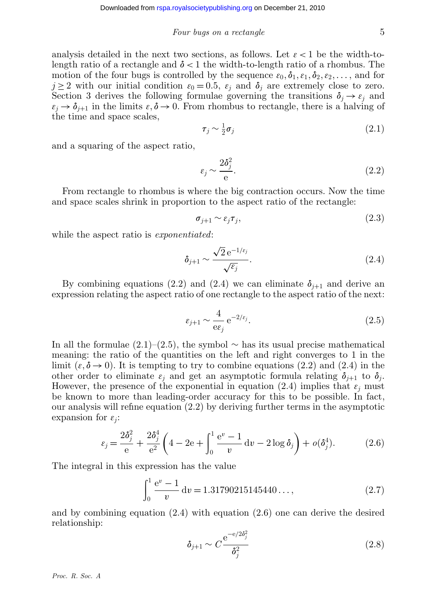analysis detailed in the next two sections, as follows. Let  $\varepsilon < 1$  be the width-tolength ratio of a rectangle and  $\delta$  < 1 the width-to-length ratio of a rhombus. The motion of the four bugs is controlled by the sequence  $\varepsilon_0, \delta_1, \varepsilon_1, \delta_2, \varepsilon_2, \ldots$ , and for  $j \geq 2$  with our initial condition  $\varepsilon_0 = 0.5$ ,  $\varepsilon_j$  and  $\delta_j$  are extremely close to zero. Section 3 derives the following formulae governing the transitions  $\delta_i \rightarrow \varepsilon_j$  and  $\epsilon_j \rightarrow \delta_{j+1}$  in the limits  $\epsilon, \delta \rightarrow 0$ . From rhombus to rectangle, there is a halving of the time and space scales,

$$
\tau_j \sim \frac{1}{2}\sigma_j \tag{2.1}
$$

and a squaring of the aspect ratio,

$$
\varepsilon_j \sim \frac{2\delta_j^2}{\mathrm{e}}.\tag{2.2}
$$

From rectangle to rhombus is where the big contraction occurs. Now the time and space scales shrink in proportion to the aspect ratio of the rectangle:

$$
\sigma_{j+1} \sim \varepsilon_j \tau_j,\tag{2.3}
$$

while the aspect ratio is *exponentiated*:

$$
\delta_{j+1} \sim \frac{\sqrt{2} e^{-1/\varepsilon_j}}{\sqrt{\varepsilon_j}}.\tag{2.4}
$$

By combining equations (2.2) and (2.4) we can eliminate  $\delta_{i+1}$  and derive an expression relating the aspect ratio of one rectangle to the aspect ratio of the next:

$$
\varepsilon_{j+1} \sim \frac{4}{\mathrm{e}\varepsilon_j} \,\mathrm{e}^{-2/\varepsilon_j}.\tag{2.5}
$$

In all the formulae  $(2.1)–(2.5)$ , the symbol ∼ has its usual precise mathematical meaning: the ratio of the quantities on the left and right converges to 1 in the limit  $(\varepsilon, \delta \to 0)$ . It is tempting to try to combine equations (2.2) and (2.4) in the other order to eliminate  $\varepsilon_i$  and get an asymptotic formula relating  $\delta_{j+1}$  to  $\delta_j$ . However, the presence of the exponential in equation (2.4) implies that  $\varepsilon_j$  must be known to more than leading-order accuracy for this to be possible. In fact, our analysis will refine equation (2.2) by deriving further terms in the asymptotic expansion for  $\varepsilon_i$ :

$$
\varepsilon_j = \frac{2\delta_j^2}{e} + \frac{2\delta_j^4}{e^2} \left( 4 - 2e + \int_0^1 \frac{e^v - 1}{v} dv - 2\log \delta_j \right) + o(\delta_j^4). \tag{2.6}
$$

The integral in this expression has the value

$$
\int_0^1 \frac{e^v - 1}{v} dv = 1.31790215145440..., \qquad (2.7)
$$

and by combining equation (2.4) with equation (2.6) one can derive the desired relationship:

$$
\delta_{j+1} \sim C \frac{\mathrm{e}^{-\mathrm{e}/2\delta_j^2}}{\delta_j^2} \tag{2.8}
$$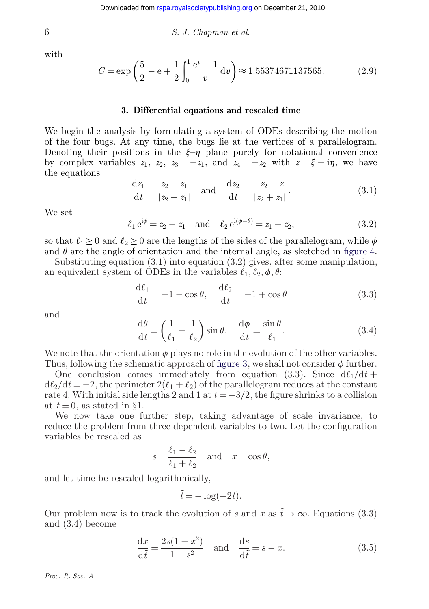with

$$
C = \exp\left(\frac{5}{2} - e + \frac{1}{2}\int_0^1 \frac{e^v - 1}{v} dv\right) \approx 1.55374671137565. \tag{2.9}
$$

#### **3. Differential equations and rescaled time**

We begin the analysis by formulating a system of ODEs describing the motion of the four bugs. At any time, the bugs lie at the vertices of a parallelogram. Denoting their positions in the  $\xi-\eta$  plane purely for notational convenience by complex variables  $z_1$ ,  $z_2$ ,  $z_3 = -z_1$ , and  $z_4 = -z_2$  with  $z = \xi + i\eta$ , we have the equations

$$
\frac{dz_1}{dt} = \frac{z_2 - z_1}{|z_2 - z_1|} \quad \text{and} \quad \frac{dz_2}{dt} = \frac{-z_2 - z_1}{|z_2 + z_1|}.
$$
 (3.1)

We set

$$
\ell_1 e^{i\phi} = z_2 - z_1
$$
 and  $\ell_2 e^{i(\phi - \theta)} = z_1 + z_2,$  (3.2)

so that  $\ell_1 \geq 0$  and  $\ell_2 \geq 0$  are the lengths of the sides of the parallelogram, while  $\phi$ and  $\theta$  are the angle of orientation and the internal angle, as sketched in [figure 4.](#page-7-0)

Substituting equation  $(3.1)$  into equation  $(3.2)$  gives, after some manipulation, an equivalent system of ODEs in the variables  $\ell_1, \ell_2, \phi, \theta$ :

$$
\frac{d\ell_1}{dt} = -1 - \cos\theta, \quad \frac{d\ell_2}{dt} = -1 + \cos\theta \tag{3.3}
$$

and

$$
\frac{d\theta}{dt} = \left(\frac{1}{\ell_1} - \frac{1}{\ell_2}\right) \sin \theta, \quad \frac{d\phi}{dt} = \frac{\sin \theta}{\ell_1}.
$$
\n(3.4)

We note that the orientation  $\phi$  plays no role in the evolution of the other variables. Thus, following the schematic approach of [figure 3,](#page-4-0) we shall not consider  $\phi$  further.

One conclusion comes immediately from equation (3.3). Since  $d\ell_1/dt$  +  $d\ell_2/dt = -2$ , the perimeter  $2(\ell_1 + \ell_2)$  of the parallelogram reduces at the constant rate 4. With initial side lengths 2 and 1 at  $t = -3/2$ , the figure shrinks to a collision at  $t = 0$ , as stated in §1.

We now take one further step, taking advantage of scale invariance, to reduce the problem from three dependent variables to two. Let the configuration variables be rescaled as

$$
s = \frac{\ell_1 - \ell_2}{\ell_1 + \ell_2} \quad \text{and} \quad x = \cos \theta,
$$

and let time be rescaled logarithmically,

$$
\tilde{t} = -\log(-2t).
$$

Our problem now is to track the evolution of *s* and *x* as  $t\rightarrow\infty$ . Equations (3.3) and (3.4) become

$$
\frac{\mathrm{d}x}{\mathrm{d}\tilde{t}} = \frac{2s(1-x^2)}{1-s^2} \quad \text{and} \quad \frac{\mathrm{d}s}{\mathrm{d}\tilde{t}} = s-x. \tag{3.5}
$$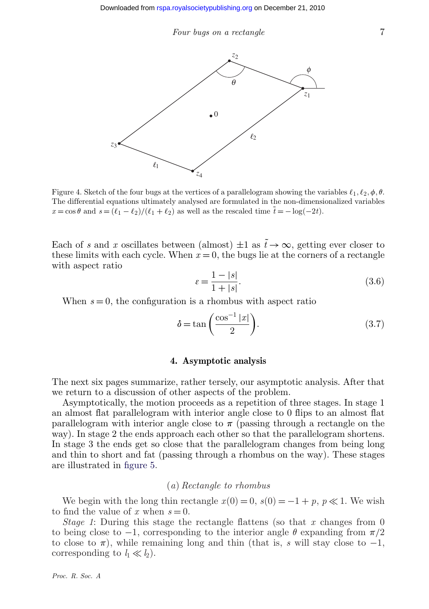<span id="page-7-0"></span>

Figure 4. Sketch of the four bugs at the vertices of a parallelogram showing the variables  $\ell_1, \ell_2, \phi, \theta$ . The differential equations ultimately analysed are formulated in the non-dimensionalized variables  $x = \cos \theta$  and  $s = (\ell_1 - \ell_2)/(\ell_1 + \ell_2)$  as well as the rescaled time  $\tilde{t} = -\log(-2t)$ .

Each of *s* and *x* oscillates between (almost)  $\pm 1$  as  $\tilde{t} \to \infty$ , getting ever closer to these limits with each cycle. When  $x = 0$ , the bugs lie at the corners of a rectangle with aspect ratio

$$
\varepsilon = \frac{1 - |s|}{1 + |s|}. \tag{3.6}
$$

When  $s = 0$ , the configuration is a rhombus with aspect ratio

$$
\delta = \tan\left(\frac{\cos^{-1}|x|}{2}\right). \tag{3.7}
$$

#### **4. Asymptotic analysis**

The next six pages summarize, rather tersely, our asymptotic analysis. After that we return to a discussion of other aspects of the problem.

Asymptotically, the motion proceeds as a repetition of three stages. In stage 1 an almost flat parallelogram with interior angle close to 0 flips to an almost flat parallelogram with interior angle close to  $\pi$  (passing through a rectangle on the way). In stage 2 the ends approach each other so that the parallelogram shortens. In stage 3 the ends get so close that the parallelogram changes from being long and thin to short and fat (passing through a rhombus on the way). These stages are illustrated in [figure 5.](#page-8-0)

## (*a*) *Rectangle to rhombus*

We begin with the long thin rectangle  $x(0) = 0$ ,  $s(0) = -1 + p$ ,  $p \ll 1$ . We wish to find the value of x when  $s = 0$ .

*Stage 1*: During this stage the rectangle flattens (so that *x* changes from 0 to being close to  $-1$ , corresponding to the interior angle  $\theta$  expanding from  $\pi/2$ to close to  $\pi$ ), while remaining long and thin (that is, *s* will stay close to  $-1$ , corresponding to  $l_1 \ll l_2$ ).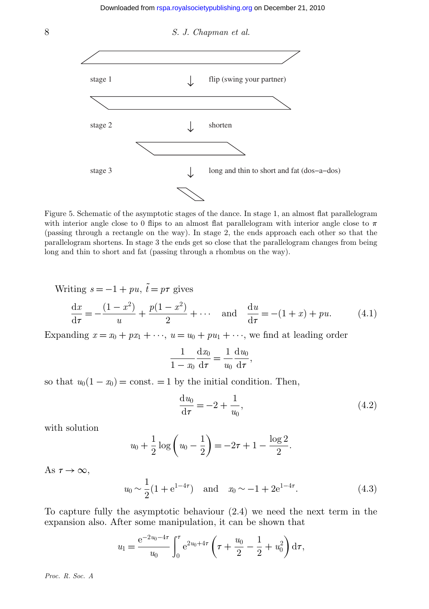<span id="page-8-0"></span>

Figure 5. Schematic of the asymptotic stages of the dance. In stage 1, an almost flat parallelogram with interior angle close to 0 flips to an almost flat parallelogram with interior angle close to  $\pi$ (passing through a rectangle on the way). In stage 2, the ends approach each other so that the parallelogram shortens. In stage 3 the ends get so close that the parallelogram changes from being long and thin to short and fat (passing through a rhombus on the way).

Writing  $s = -1 + pu$ ,  $\tilde{t} = p\tau$  gives

$$
\frac{dx}{d\tau} = -\frac{(1-x^2)}{u} + \frac{p(1-x^2)}{2} + \cdots \quad \text{and} \quad \frac{du}{d\tau} = -(1+x) + pu. \tag{4.1}
$$

Expanding  $x = x_0 + px_1 + \cdots$ ,  $u = u_0 + pu_1 + \cdots$ , we find at leading order

$$
\frac{1}{1-x_0}\frac{\mathrm{d}x_0}{\mathrm{d}\tau} = \frac{1}{u_0}\frac{\mathrm{d}u_0}{\mathrm{d}\tau},
$$

so that  $u_0(1-x_0) = \text{const.} = 1$  by the initial condition. Then,

$$
\frac{du_0}{d\tau} = -2 + \frac{1}{u_0},
$$
\n(4.2)

with solution

$$
u_0 + \frac{1}{2}\log\left(u_0 - \frac{1}{2}\right) = -2\tau + 1 - \frac{\log 2}{2}.
$$

As  $\tau \to \infty$ ,

$$
u_0 \sim \frac{1}{2} (1 + e^{1-4\tau})
$$
 and  $x_0 \sim -1 + 2e^{1-4\tau}$ . (4.3)

To capture fully the asymptotic behaviour (2.4) we need the next term in the expansion also. After some manipulation, it can be shown that

$$
u_1 = \frac{e^{-2u_0 - 4\tau}}{u_0} \int_0^{\tau} e^{2u_0 + 4\tau} \left(\tau + \frac{u_0}{2} - \frac{1}{2} + u_0^2\right) d\tau,
$$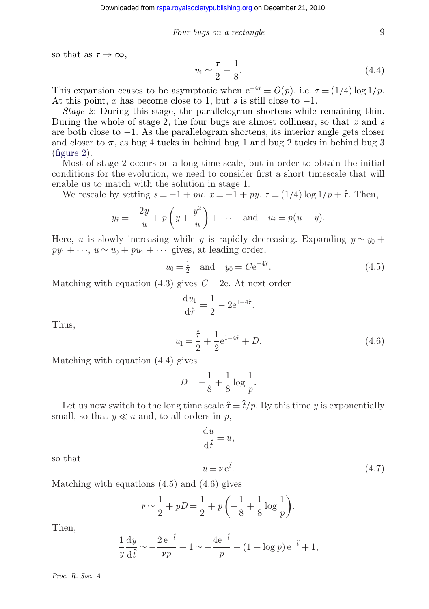so that as  $\tau \to \infty$ ,

$$
u_1 \sim \frac{\tau}{2} - \frac{1}{8}.\tag{4.4}
$$

This expansion ceases to be asymptotic when  $e^{-4\tau} = O(p)$ , i.e.  $\tau = (1/4) \log 1/p$ . At this point, *x* has become close to 1, but *s* is still close to  $-1$ .

*Stage 2*: During this stage, the parallelogram shortens while remaining thin. During the whole of stage 2, the four bugs are almost collinear, so that *x* and *s* are both close to −1. As the parallelogram shortens, its interior angle gets closer and closer to  $\pi$ , as bug 4 tucks in behind bug 1 and bug 2 tucks in behind bug 3 [\(figure 2\)](#page-3-0).

Most of stage 2 occurs on a long time scale, but in order to obtain the initial conditions for the evolution, we need to consider first a short timescale that will enable us to match with the solution in stage 1.

We rescale by setting  $s = -1 + pu$ ,  $x = -1 + py$ ,  $\tau = (1/4) \log 1/p + \hat{\tau}$ . Then,

$$
y_{\hat{\tau}} = -\frac{2y}{u} + p\left(y + \frac{y^2}{u}\right) + \cdots
$$
 and  $u_{\hat{\tau}} = p(u - y)$ .

Here, *u* is slowly increasing while *y* is rapidly decreasing. Expanding  $y \sim y_0 +$  $py_1 + \cdots$ ,  $u \sim u_0 + pu_1 + \cdots$  gives, at leading order,

$$
u_0 = \frac{1}{2} \quad \text{and} \quad y_0 = C e^{-4\hat{\tau}}.
$$
 (4.5)

.

Matching with equation  $(4.3)$  gives  $C = 2e$ . At next order

$$
\frac{\mathrm{d}u_1}{\mathrm{d}\hat{\tau}} = \frac{1}{2} - 2e^{1-4\hat{\tau}}
$$

Thus,

$$
u_1 = \frac{\hat{\tau}}{2} + \frac{1}{2} e^{1 - 4\hat{\tau}} + D.
$$
 (4.6)

Matching with equation (4.4) gives

$$
D = -\frac{1}{8} + \frac{1}{8} \log \frac{1}{p}.
$$

Let us now switch to the long time scale  $\hat{\tau} = \hat{t}/p$ . By this time *y* is exponentially small, so that  $y \ll u$  and, to all orders in p,

$$
\frac{\mathrm{d}u}{\mathrm{d}\hat{t}} = u,
$$
  

$$
u = v e^{\hat{t}}.
$$
 (4.7)

so that

Matching with equations (4.5) and (4.6) gives

$$
\nu \sim \frac{1}{2} + pD = \frac{1}{2} + p\left(-\frac{1}{8} + \frac{1}{8}\log\frac{1}{p}\right).
$$

Then,

$$
\frac{1}{y}\frac{dy}{d\hat{t}} \sim -\frac{2e^{-\hat{t}}}{\nu p} + 1 \sim -\frac{4e^{-\hat{t}}}{p} - (1 + \log p)e^{-\hat{t}} + 1,
$$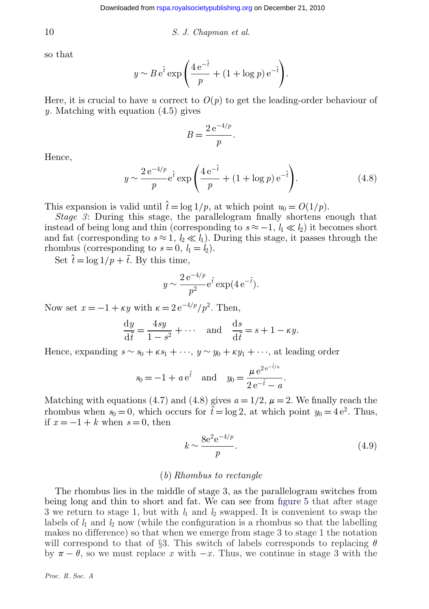$$
S. J. Chapman et al.
$$

so that

$$
y \sim B e^{\hat{t}} \exp\left(\frac{4 e^{-\hat{t}}}{p} + (1 + \log p) e^{-\hat{t}}\right).
$$

Here, it is crucial to have *u* correct to  $O(p)$  to get the leading-order behaviour of *y*. Matching with equation (4.5) gives

$$
B = \frac{2 e^{-4/p}}{p}.
$$

Hence,

$$
y \sim \frac{2 e^{-4/p}}{p} e^{\hat{t}} \exp\left(\frac{4 e^{-\hat{t}}}{p} + (1 + \log p) e^{-\hat{t}}\right).
$$
 (4.8)

This expansion is valid until  $\hat{t} = \log 1/p$ , at which point  $u_0 = O(1/p)$ .

*Stage 3*: During this stage, the parallelogram finally shortens enough that instead of being long and thin (corresponding to  $s \approx -1$ ,  $l_1 \ll l_2$ ) it becomes short and fat (corresponding to  $s \approx 1$ ,  $l_2 \ll l_1$ ). During this stage, it passes through the rhombus (corresponding to  $s = 0$ ,  $l_1 = l_2$ ).

Set  $\hat{t} = \log 1/p + \overline{t}$ . By this time,

$$
y \sim \frac{2 e^{-4/p}}{p^2} e^{\bar{t}} \exp(4 e^{-\bar{t}}).
$$

Now set  $x = -1 + \kappa y$  with  $\kappa = 2 e^{-4/p}/p^2$ . Then,

$$
\frac{dy}{d\bar{t}} = \frac{4sy}{1-s^2} + \cdots \quad \text{and} \quad \frac{ds}{d\bar{t}} = s + 1 - \kappa y.
$$

Hence, expanding  $s \sim s_0 + \kappa s_1 + \cdots$ ,  $y \sim y_0 + \kappa y_1 + \cdots$ , at leading order

$$
s_0 = -1 + a e^{\bar{t}}
$$
 and  $y_0 = \frac{\mu e^{2e^{-\bar{t}/a}}}{2e^{-\bar{t}} - a}$ .

Matching with equations (4.7) and (4.8) gives  $a = 1/2$ ,  $\mu = 2$ . We finally reach the rhombus when  $s_0 = 0$ , which occurs for  $\bar{t} = \log 2$ , at which point  $y_0 = 4 e^2$ . Thus, if  $x = -1 + k$  when  $s = 0$ , then

$$
k \sim \frac{8e^2 e^{-4/p}}{p}.\tag{4.9}
$$

#### (*b*) *Rhombus to rectangle*

The rhombus lies in the middle of stage 3, as the parallelogram switches from being long and thin to short and fat. We can see from [figure 5](#page-8-0) that after stage 3 we return to stage 1, but with *l*<sup>1</sup> and *l*<sup>2</sup> swapped. It is convenient to swap the labels of  $l_1$  and  $l_2$  now (while the configuration is a rhombus so that the labelling makes no difference) so that when we emerge from stage 3 to stage 1 the notation will correspond to that of §3. This switch of labels corresponds to replacing  $\theta$ by  $\pi - \theta$ , so we must replace *x* with  $-x$ . Thus, we continue in stage 3 with the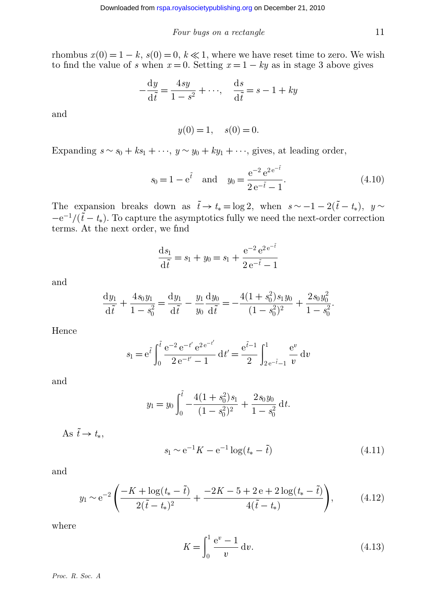rhombus  $x(0) = 1 - k$ ,  $s(0) = 0$ ,  $k \ll 1$ , where we have reset time to zero. We wish to find the value of *s* when  $x = 0$ . Setting  $x = 1 - ky$  as in stage 3 above gives

$$
-\frac{dy}{d\tilde{t}} = \frac{4sy}{1-s^2} + \cdots, \quad \frac{ds}{d\tilde{t}} = s - 1 + ky
$$

and

$$
y(0) = 1, \quad s(0) = 0.
$$

Expanding  $s \sim s_0 + ks_1 + \cdots$ ,  $y \sim y_0 + ky_1 + \cdots$ , gives, at leading order,

$$
s_0 = 1 - e^{\tilde{t}}
$$
 and  $y_0 = \frac{e^{-2} e^{2e^{-\tilde{t}}}}{2e^{-\tilde{t}} - 1}$ . (4.10)

The expansion breaks down as  $\tilde{t} \to t_* = \log 2$ , when  $s \sim -1 - 2(\tilde{t} - t_*)$ ,  $y \sim$  $-e^{-1}/(\tilde{t}-t_*)$ . To capture the asymptotics fully we need the next-order correction terms. At the next order, we find

$$
\frac{ds_1}{d\tilde{t}} = s_1 + y_0 = s_1 + \frac{e^{-2} e^{2e^{-\tilde{t}}}}{2e^{-\tilde{t}} - 1}
$$

and

$$
\frac{dy_1}{d\tilde{t}} + \frac{4s_0y_1}{1 - s_0^2} = \frac{dy_1}{d\tilde{t}} - \frac{y_1}{y_0} \frac{dy_0}{d\tilde{t}} = -\frac{4(1 + s_0^2)s_1y_0}{(1 - s_0^2)^2} + \frac{2s_0y_0^2}{1 - s_0^2}.
$$

Hence

$$
s_1 = e^{\tilde{t}} \int_0^{\tilde{t}} \frac{e^{-2} e^{-t'} e^{2e^{-t'}}}{2 e^{-t'} - 1} dt' = \frac{e^{\tilde{t}-1}}{2} \int_{2e^{-\tilde{t}} - 1}^1 \frac{e^v}{v} dv
$$

and

$$
y_1 = y_0 \int_0^{\tilde{t}} -\frac{4(1+s_0^2)s_1}{(1-s_0^2)^2} + \frac{2s_0y_0}{1-s_0^2} dt.
$$

As  $\tilde{t} \to t_*$ ,

$$
s_1 \sim e^{-1} K - e^{-1} \log(t_* - \tilde{t})
$$
\n(4.11)

and

$$
y_1 \sim e^{-2} \left( \frac{-K + \log(t_* - \tilde{t})}{2(\tilde{t} - t_*)^2} + \frac{-2K - 5 + 2e + 2\log(t_* - \tilde{t})}{4(\tilde{t} - t_*)} \right), \tag{4.12}
$$

where

$$
K = \int_0^1 \frac{e^v - 1}{v} dv.
$$
 (4.13)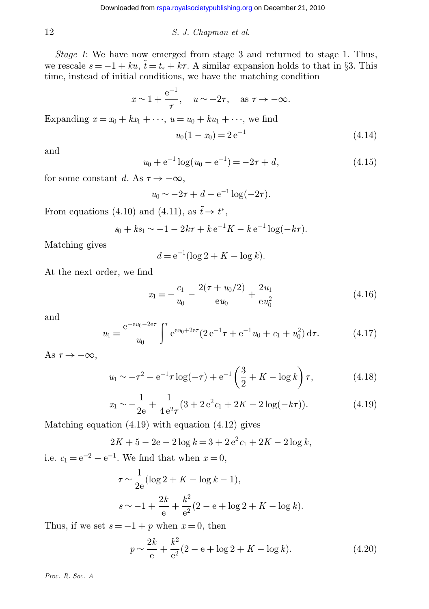*Stage 1*: We have now emerged from stage 3 and returned to stage 1. Thus, we rescale  $s = -1 + k\omega$ ,  $\tilde{t} = t_* + k\tau$ . A similar expansion holds to that in §3. This time, instead of initial conditions, we have the matching condition

$$
x \sim 1 + \frac{e^{-1}}{\tau}
$$
,  $u \sim -2\tau$ , as  $\tau \to -\infty$ .

Expanding  $x = x_0 + kx_1 + \cdots$ ,  $u = u_0 + ku_1 + \cdots$ , we find

$$
u_0(1 - x_0) = 2 e^{-1}
$$
\n(4.14)

and

$$
u_0 + e^{-1} \log(u_0 - e^{-1}) = -2\tau + d,\tag{4.15}
$$

for some constant *d*. As  $\tau \to -\infty$ ,

$$
u_0 \sim -2\tau + d - e^{-1} \log(-2\tau).
$$

From equations (4.10) and (4.11), as  $\tilde{t} \to t^*$ ,

$$
s_0 + ks_1 \sim -1 - 2k\tau + k e^{-1} K - k e^{-1} \log(-k\tau).
$$

Matching gives

$$
d = e^{-1} (\log 2 + K - \log k).
$$

At the next order, we find

$$
x_1 = -\frac{c_1}{u_0} - \frac{2(\tau + u_0/2)}{eu_0} + \frac{2u_1}{eu_0^2}
$$
\n(4.16)

and

$$
u_1 = \frac{e^{-eu_0 - 2e\tau}}{u_0} \int^{\tau} e^{eu_0 + 2e\tau} (2 e^{-1} \tau + e^{-1} u_0 + c_1 + u_0^2) d\tau.
$$
 (4.17)

As  $\tau \to -\infty$ ,

$$
u_1 \sim -\tau^2 - e^{-1}\tau \log(-\tau) + e^{-1}\left(\frac{3}{2} + K - \log k\right)\tau, \tag{4.18}
$$

$$
x_1 \sim -\frac{1}{2e} + \frac{1}{4e^2\tau} (3 + 2e^2c_1 + 2K - 2\log(-k\tau)).
$$
 (4.19)

Matching equation (4.19) with equation (4.12) gives

$$
2K + 5 - 2e - 2\log k = 3 + 2e^{2}c_{1} + 2K - 2\log k,
$$

i.e.  $c_1 = e^{-2} - e^{-1}$ . We find that when  $x = 0$ ,

$$
\tau \sim \frac{1}{2e} (\log 2 + K - \log k - 1),
$$
  

$$
s \sim -1 + \frac{2k}{e} + \frac{k^2}{e^2} (2 - e + \log 2 + K - \log k).
$$

Thus, if we set  $s = -1 + p$  when  $x = 0$ , then

$$
p \sim \frac{2k}{e} + \frac{k^2}{e^2} (2 - e + \log 2 + K - \log k). \tag{4.20}
$$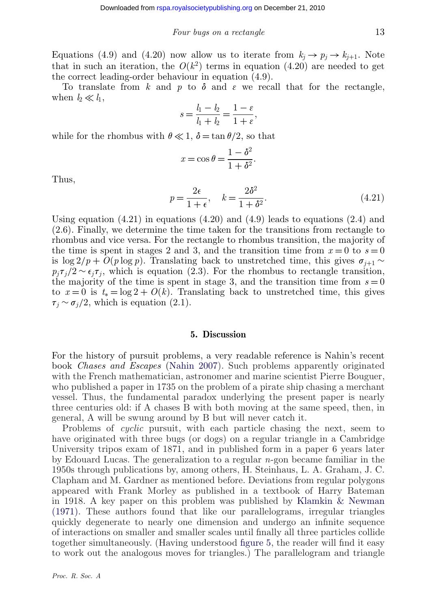Equations (4.9) and (4.20) now allow us to iterate from  $k_j \to p_j \to k_{j+1}$ . Note that in such an iteration, the  $O(k^2)$  terms in equation (4.20) are needed to get the correct leading-order behaviour in equation (4.9).

To translate from k and p to  $\delta$  and  $\varepsilon$  we recall that for the rectangle, when  $l_2 \ll l_1$ ,

$$
s = \frac{l_1 - l_2}{l_1 + l_2} = \frac{1 - \varepsilon}{1 + \varepsilon},
$$

while for the rhombus with  $\theta \ll 1$ ,  $\delta = \tan \theta/2$ , so that

$$
x = \cos \theta = \frac{1 - \delta^2}{1 + \delta^2}.
$$

Thus,

$$
p = \frac{2\epsilon}{1 + \epsilon}, \quad k = \frac{2\delta^2}{1 + \delta^2}.
$$
\n(4.21)

Using equation  $(4.21)$  in equations  $(4.20)$  and  $(4.9)$  leads to equations  $(2.4)$  and (2.6). Finally, we determine the time taken for the transitions from rectangle to rhombus and vice versa. For the rectangle to rhombus transition, the majority of the time is spent in stages 2 and 3, and the transition time from  $x = 0$  to  $s = 0$ is log 2/*p* + *O*(*p* log *p*). Translating back to unstretched time, this gives  $\sigma_{j+1}$  ∼  $p_j \tau_j / 2 \sim \epsilon_j \tau_j$ , which is equation (2.3). For the rhombus to rectangle transition, the majority of the time is spent in stage 3, and the transition time from  $s = 0$ to  $x = 0$  is  $t_* = \log 2 + O(k)$ . Translating back to unstretched time, this gives  $\tau_j \sim \sigma_j/2$ , which is equation (2.1).

#### **5. Discussion**

For the history of pursuit problems, a very readable reference is Nahin's recent book *Chases and Escapes* [\(Nahin 2007\)](#page-16-0). Such problems apparently originated with the French mathematician, astronomer and marine scientist Pierre Bouguer, who published a paper in 1735 on the problem of a pirate ship chasing a merchant vessel. Thus, the fundamental paradox underlying the present paper is nearly three centuries old: if A chases B with both moving at the same speed, then, in general, A will be swung around by B but will never catch it.

Problems of *cyclic* pursuit, with each particle chasing the next, seem to have originated with three bugs (or dogs) on a regular triangle in a Cambridge University tripos exam of 1871, and in published form in a paper 6 years later by Edouard Lucas. The generalization to a regular *n*-gon became familiar in the 1950s through publications by, among others, H. Steinhaus, L. A. Graham, J. C. Clapham and M. Gardner as mentioned before. Deviations from regular polygons appeared with Frank Morley as published in a textbook of Harry Bateman in 1918. A key paper on this problem was published by [Klamkin & Newman](#page-16-0) [\(1971\).](#page-16-0) These authors found that like our parallelograms, irregular triangles quickly degenerate to nearly one dimension and undergo an infinite sequence of interactions on smaller and smaller scales until finally all three particles collide together simultaneously. (Having understood [figure 5,](#page-8-0) the reader will find it easy to work out the analogous moves for triangles.) The parallelogram and triangle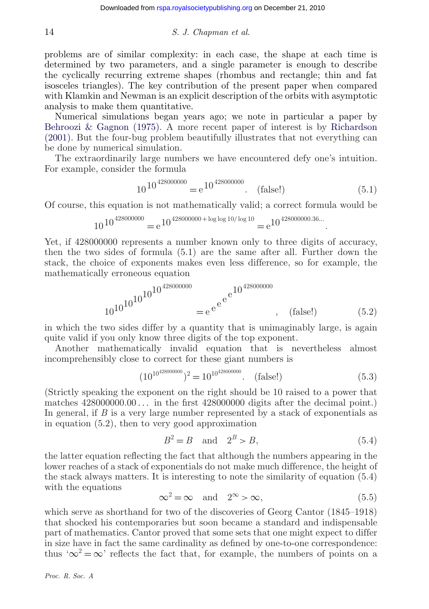problems are of similar complexity: in each case, the shape at each time is determined by two parameters, and a single parameter is enough to describe the cyclically recurring extreme shapes (rhombus and rectangle; thin and fat isosceles triangles). The key contribution of the present paper when compared with Klamkin and Newman is an explicit description of the orbits with asymptotic analysis to make them quantitative.

Numerical simulations began years ago; we note in particular a paper by [Behroozi & Gagnon \(1975\).](#page-16-0) A more recent paper of interest is by [Richardson](#page-16-0) [\(2001\).](#page-16-0) But the four-bug problem beautifully illustrates that not everything can be done by numerical simulation.

The extraordinarily large numbers we have encountered defy one's intuition. For example, consider the formula

$$
10^{10^{428000000}} = e^{10^{428000000}}.
$$
 (false!) (5.1)

.

Of course, this equation is not mathematically valid; a correct formula would be

$$
10^{10^{428000000}} = e^{10^{428000000 + \log \log 10 / \log 10}} = e^{10^{428000000.36...}}
$$

Yet, if 428000000 represents a number known only to three digits of accuracy, then the two sides of formula (5.1) are the same after all. Further down the stack, the choice of exponents makes even less difference, so for example, the mathematically erroneous equation

$$
10^{10^{10^{10^{10^{10^{28000000}}}}} = e^{e^{e^{10^{428000000}}}}, \quad \text{(false!)}
$$
\n(5.2)

in which the two sides differ by a quantity that is unimaginably large, is again quite valid if you only know three digits of the top exponent.

Another mathematically invalid equation that is nevertheless almost incomprehensibly close to correct for these giant numbers is

$$
(10^{10^{428000000}})^{2} = 10^{10^{428000000}}.
$$
 (false!) (5.3)

(Strictly speaking the exponent on the right should be 10 raised to a power that matches 428000000.00 *...* in the first 428000000 digits after the decimal point.) In general, if *B* is a very large number represented by a stack of exponentials as in equation (5.2), then to very good approximation

$$
B^2 = B \quad \text{and} \quad 2^B > B,\tag{5.4}
$$

the latter equation reflecting the fact that although the numbers appearing in the lower reaches of a stack of exponentials do not make much difference, the height of the stack always matters. It is interesting to note the similarity of equation (5.4) with the equations

$$
\infty^2 = \infty \quad \text{and} \quad 2^{\infty} > \infty,\tag{5.5}
$$

which serve as shorthand for two of the discoveries of Georg Cantor (1845–1918) that shocked his contemporaries but soon became a standard and indispensable part of mathematics. Cantor proved that some sets that one might expect to differ in size have in fact the same cardinality as defined by one-to-one correspondence: thus ' $\infty^2 = \infty$ ' reflects the fact that, for example, the numbers of points on a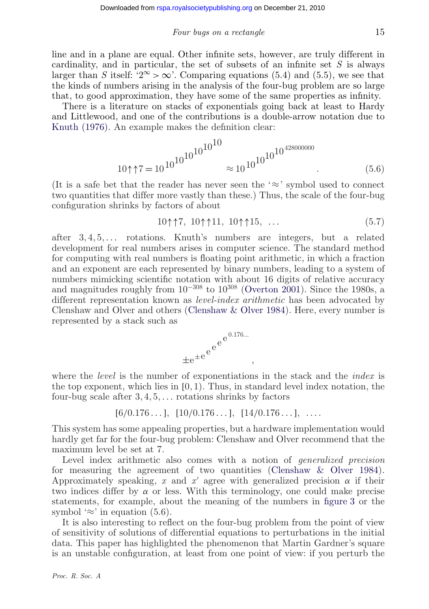line and in a plane are equal. Other infinite sets, however, are truly different in cardinality, and in particular, the set of subsets of an infinite set *S* is always larger than *S* itself: ' $2^{\infty} > \infty$ '. Comparing equations (5.4) and (5.5), we see that the kinds of numbers arising in the analysis of the four-bug problem are so large that, to good approximation, they have some of the same properties as infinity.

There is a literature on stacks of exponentials going back at least to Hardy and Littlewood, and one of the contributions is a double-arrow notation due to [Knuth \(1976\).](#page-16-0) An example makes the definition clear:

<sup>10</sup>↑↑<sup>7</sup> <sup>=</sup> <sup>10</sup>10<sup>10</sup>1010<sup>10</sup><sup>10</sup> <sup>≈</sup> <sup>10</sup>10101010428000000 . (5.6)

(It is a safe bet that the reader has never seen the ' $\approx$ ' symbol used to connect two quantities that differ more vastly than these.) Thus, the scale of the four-bug configuration shrinks by factors of about

$$
10\uparrow\uparrow7, 10\uparrow\uparrow11, 10\uparrow\uparrow15, \ldots \tag{5.7}
$$

after 3, 4, 5, *...* rotations. Knuth's numbers are integers, but a related development for real numbers arises in computer science. The standard method for computing with real numbers is floating point arithmetic, in which a fraction and an exponent are each represented by binary numbers, leading to a system of numbers mimicking scientific notation with about 16 digits of relative accuracy and magnitudes roughly from  $10^{-308}$  to  $10^{308}$  [\(Overton 2001\)](#page-16-0). Since the 1980s, a different representation known as *level-index arithmetic* has been advocated by Clenshaw and Olver and others [\(Clenshaw & Olver 1984\)](#page-16-0). Here, every number is represented by a stack such as



where the *level* is the number of exponentiations in the stack and the *index* is the top exponent, which lies in  $[0, 1)$ . Thus, in standard level index notation, the four-bug scale after 3, 4, 5, *...* rotations shrinks by factors

$$
[6/0.176...], [10/0.176...], [14/0.176...], ...
$$

This system has some appealing properties, but a hardware implementation would hardly get far for the four-bug problem: Clenshaw and Olver recommend that the maximum level be set at 7.

Level index arithmetic also comes with a notion of *generalized precision* for measuring the agreement of two quantities [\(Clenshaw & Olver 1984\)](#page-16-0). Approximately speaking,  $x$  and  $x'$  agree with generalized precision  $\alpha$  if their two indices differ by  $\alpha$  or less. With this terminology, one could make precise statements, for example, about the meaning of the numbers in [figure 3](#page-4-0) or the symbol ' $\approx$ ' in equation (5.6).

It is also interesting to reflect on the four-bug problem from the point of view of sensitivity of solutions of differential equations to perturbations in the initial data. This paper has highlighted the phenomenon that Martin Gardner's square is an unstable configuration, at least from one point of view: if you perturb the